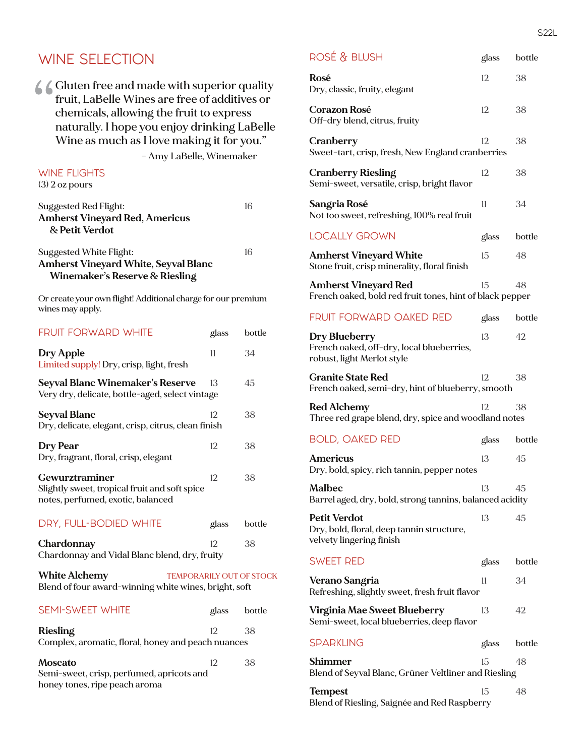#### WINE SELECTION  $\bigwedge$  Gluten free and made with superior quality fruit, LaBelle Wines are free of additives or chemicals, allowing the fruit to express naturally. I hope you enjoy drinking LaBelle Wine as much as I love making it for you." – Amy LaBelle, Winemaker WINE FLIGHTS (3) 2 oz pours Suggested Red Flight: 16 **Amherst Vineyard Red, Americus & Petit Verdot** Suggested White Flight: 16 **Amherst Vineyard White, Seyval Blanc Winemaker's Reserve & Riesling** Or create your own flight! Additional charge for our premium wines may apply. FRUIT FORWARD WHITE glass bottle **Dry Apple** 11 34 Limited supply! Dry, crisp, light, fresh **Seyval Blanc Winemaker's Reserve** 13 45 Very dry, delicate, bottle-aged, select vintage **Seyval Blanc** 12 38 Dry, delicate, elegant, crisp, citrus, clean finish **Dry Pear** 12 38 Dry, fragrant, floral, crisp, elegant Gewurztraminer 12 38 Slightly sweet, tropical fruit and soft spice notes, perfumed, exotic, balanced DRY, FULL-BODIED WHITE glass bottle **Chardonnay** 12 38 Chardonnay and Vidal Blanc blend, dry, fruity **White Alchemy** TEMPORARILY OUT OF STOCK Blend of four award-winning white wines, bright, soft SEMI-SWEET WHITE glass bottle **Riesling** 12 38 Complex, aromatic, floral, honey and peach nuances **Moscato** 12 38 Semi-sweet, crisp, perfumed, apricots and

honey tones, ripe peach aroma

| ROSÉ & BLUSH                                                                                 | glass | bottle |
|----------------------------------------------------------------------------------------------|-------|--------|
| Rosé<br>Dry, classic, fruity, elegant                                                        | 12    | 38     |
| Corazon Rosé<br>Off-dry blend, citrus, fruity                                                | 12    | 38     |
| Cranberry<br>Sweet-tart, crisp, fresh, New England cranberries                               | 12    | 38     |
| Cranberry Riesling<br>Semi-sweet, versatile, crisp, bright flavor                            | 12    | 38     |
| Sangria Rosé<br>Not too sweet, refreshing, 100% real fruit                                   | 11    | 34     |
| <b>LOCALLY GROWN</b>                                                                         | glass | bottle |
| Amherst Vineyard White<br>Stone fruit, crisp minerality, floral finish                       | 15    | 48     |
| Amherst Vineyard Red<br>French oaked, bold red fruit tones, hint of black pepper             | 15    | 48     |
| <b>FRUIT FORWARD OAKED RED</b>                                                               | glass | bottle |
| Dry Blueberry<br>French oaked, off-dry, local blueberries,<br>robust, light Merlot style     | 13    | 42     |
| <b>Granite State Red</b><br>French oaked, semi-dry, hint of blueberry, smooth                | 12    | 38     |
| Red Alchemy<br>Three red grape blend, dry, spice and woodland notes                          | 12    | 38     |
| <b>BOLD, OAKED RED</b>                                                                       | glass | bottle |
| Americus<br>Dry, bold, spicy, rich tannin, pepper notes                                      | 13    | 45     |
| Malbec<br>Barrel aged, dry, bold, strong tannins, balanced acidity                           | 13    | 45     |
| <b>Petit Verdot</b><br>Dry, bold, floral, deep tannin structure,<br>velvety lingering finish | 13    | 45     |
| <b>SWEET RED</b>                                                                             | glass | bottle |
| Verano Sangria<br>Refreshing, slightly sweet, fresh fruit flavor                             | 11    | 34     |
| Virginia Mae Sweet Blueberry<br>Semi-sweet, local blueberries, deep flavor                   | 13    | 42     |
| <b>SPARKLING</b>                                                                             | glass | bottle |
| Shimmer<br>Blend of Seyval Blanc, Grüner Veltliner and Riesling                              | 15    | 48     |
| Tempest                                                                                      | 15    | 48     |

Blend of Riesling, Saignée and Red Raspberry